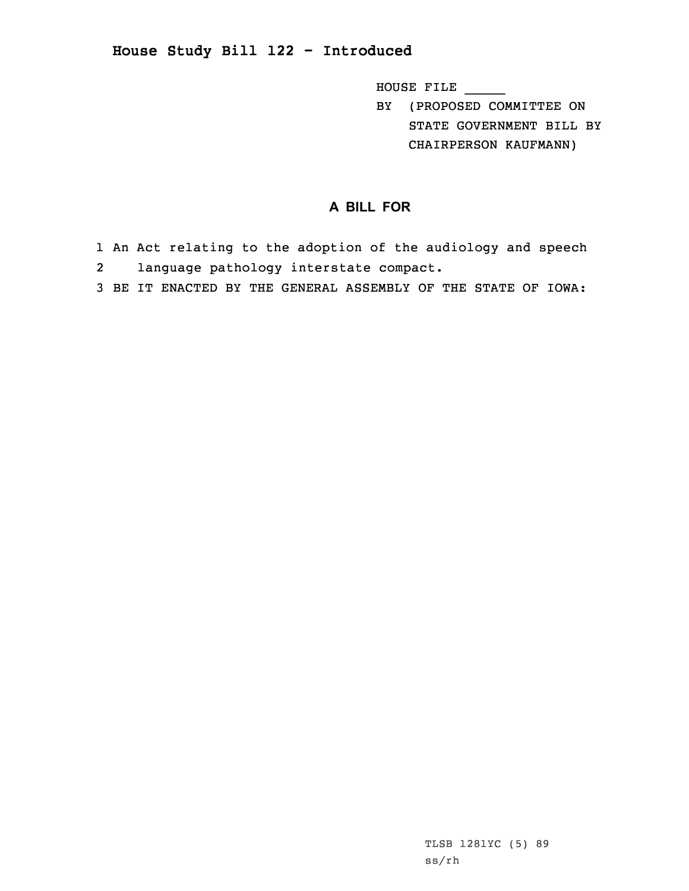## **House Study Bill 122 - Introduced**

HOUSE FILE \_\_\_\_\_

BY (PROPOSED COMMITTEE ON STATE GOVERNMENT BILL BY CHAIRPERSON KAUFMANN)

## **A BILL FOR**

- 1 An Act relating to the adoption of the audiology and speech 2language pathology interstate compact.
- 3 BE IT ENACTED BY THE GENERAL ASSEMBLY OF THE STATE OF IOWA: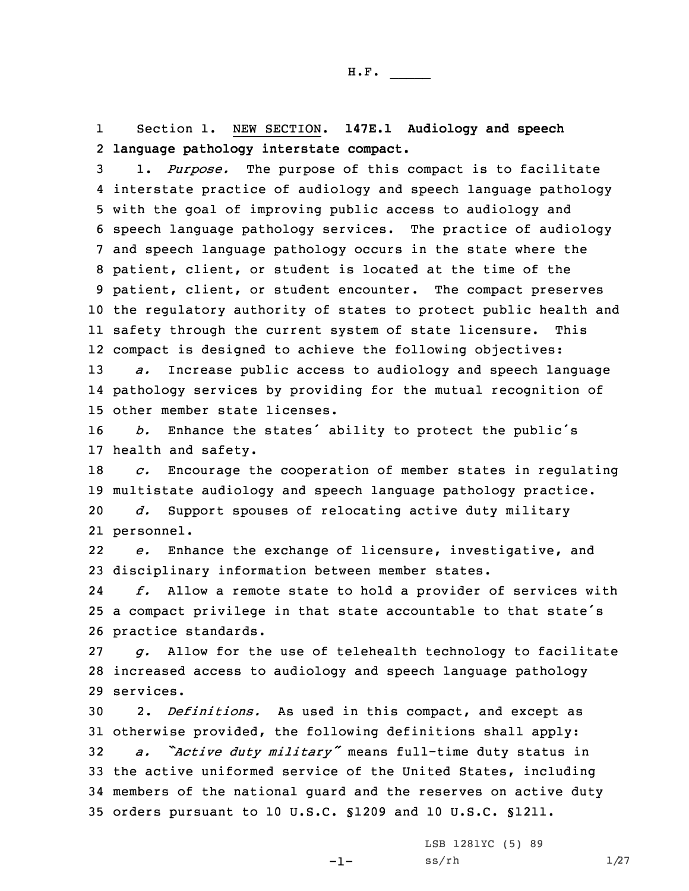1 Section 1. NEW SECTION. **147E.1 Audiology and speech** 2 **language pathology interstate compact.**

 1. *Purpose.* The purpose of this compact is to facilitate interstate practice of audiology and speech language pathology with the goal of improving public access to audiology and speech language pathology services. The practice of audiology and speech language pathology occurs in the state where the patient, client, or student is located at the time of the patient, client, or student encounter. The compact preserves the regulatory authority of states to protect public health and safety through the current system of state licensure. This compact is designed to achieve the following objectives: *a.* Increase public access to audiology and speech language

14 pathology services by providing for the mutual recognition of 15 other member state licenses.

<sup>16</sup> *b.* Enhance the states' ability to protect the public's 17 health and safety.

 *c.* Encourage the cooperation of member states in regulating multistate audiology and speech language pathology practice. *d.* Support spouses of relocating active duty military personnel.

22 *e.* Enhance the exchange of licensure, investigative, and 23 disciplinary information between member states.

24 *f.* Allow <sup>a</sup> remote state to hold <sup>a</sup> provider of services with <sup>25</sup> <sup>a</sup> compact privilege in that state accountable to that state's 26 practice standards.

27 *g.* Allow for the use of telehealth technology to facilitate 28 increased access to audiology and speech language pathology 29 services.

 2. *Definitions.* As used in this compact, and except as otherwise provided, the following definitions shall apply: *a. "Active duty military"* means full-time duty status in the active uniformed service of the United States, including members of the national guard and the reserves on active duty orders pursuant to 10 U.S.C. §1209 and 10 U.S.C. §1211.

 $-1-$ 

LSB 1281YC (5) 89  $ss/rh$   $1/27$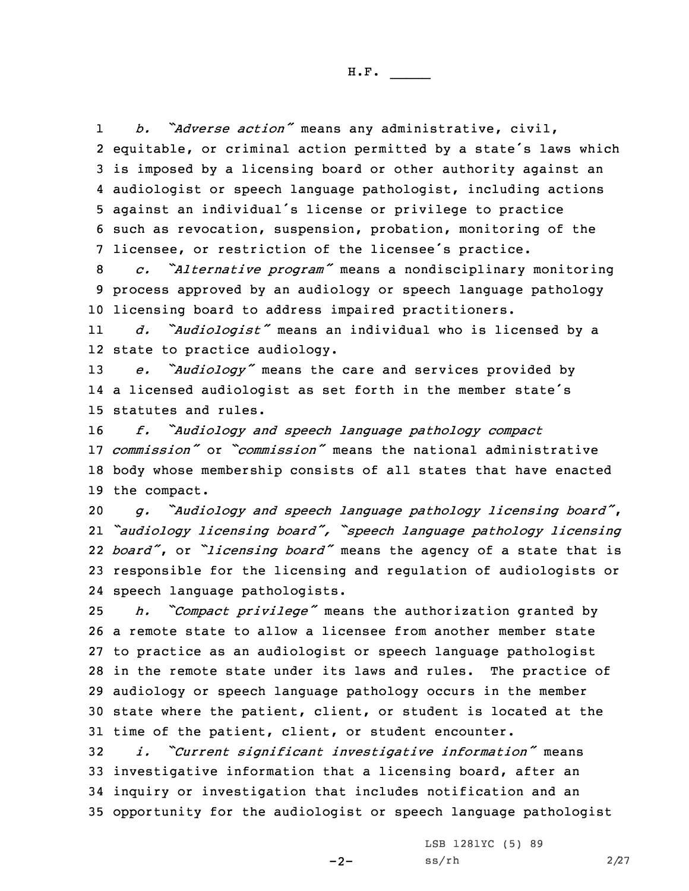1 *b. "Adverse action"* means any administrative, civil, equitable, or criminal action permitted by <sup>a</sup> state's laws which is imposed by <sup>a</sup> licensing board or other authority against an audiologist or speech language pathologist, including actions against an individual's license or privilege to practice such as revocation, suspension, probation, monitoring of the licensee, or restriction of the licensee's practice.

<sup>8</sup> *c. "Alternative program"* means <sup>a</sup> nondisciplinary monitoring 9 process approved by an audiology or speech language pathology 10 licensing board to address impaired practitioners.

11 *d. "Audiologist"* means an individual who is licensed by <sup>a</sup> 12 state to practice audiology.

<sup>13</sup> *e. "Audiology"* means the care and services provided by 14 <sup>a</sup> licensed audiologist as set forth in the member state's 15 statutes and rules.

 *f. "Audiology and speech language pathology compact commission"* or *"commission"* means the national administrative body whose membership consists of all states that have enacted the compact.

 *g. "Audiology and speech language pathology licensing board"*, *"audiology licensing board", "speech language pathology licensing board"*, or *"licensing board"* means the agency of <sup>a</sup> state that is responsible for the licensing and regulation of audiologists or speech language pathologists.

 *h. "Compact privilege"* means the authorization granted by <sup>a</sup> remote state to allow <sup>a</sup> licensee from another member state to practice as an audiologist or speech language pathologist in the remote state under its laws and rules. The practice of audiology or speech language pathology occurs in the member state where the patient, client, or student is located at the time of the patient, client, or student encounter.

 *i. "Current significant investigative information"* means investigative information that <sup>a</sup> licensing board, after an inquiry or investigation that includes notification and an opportunity for the audiologist or speech language pathologist

 $-2-$ 

LSB 1281YC (5) 89  $ss/rh$  2/27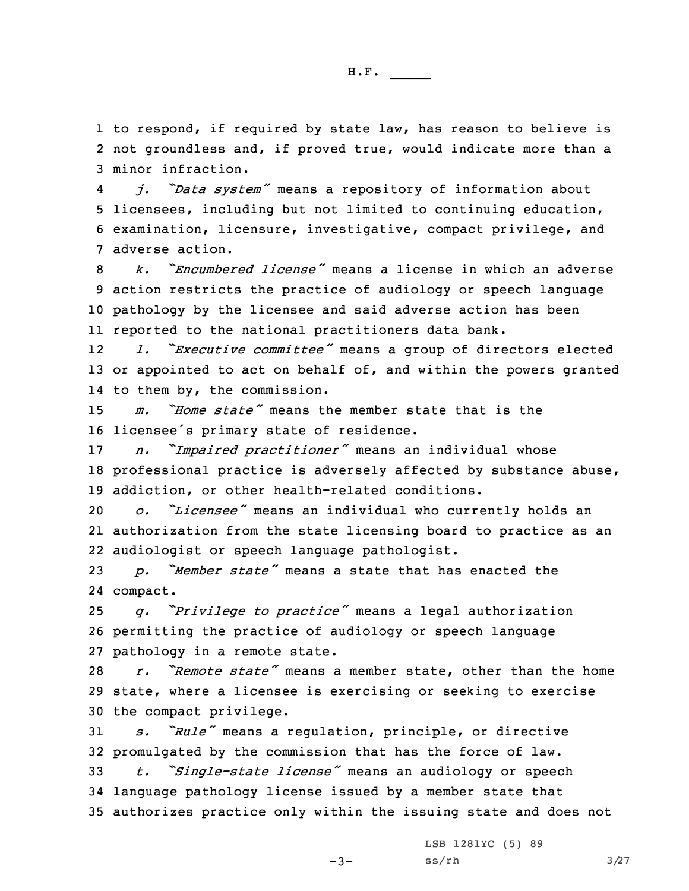1 to respond, if required by state law, has reason to believe is 2 not groundless and, if proved true, would indicate more than <sup>a</sup> 3 minor infraction.

4 *j. "Data system"* means <sup>a</sup> repository of information about 5 licensees, including but not limited to continuing education, 6 examination, licensure, investigative, compact privilege, and 7 adverse action.

 *k. "Encumbered license"* means <sup>a</sup> license in which an adverse action restricts the practice of audiology or speech language pathology by the licensee and said adverse action has been reported to the national practitioners data bank.

12 *l. "Executive committee"* means <sup>a</sup> group of directors elected 13 or appointed to act on behalf of, and within the powers granted 14 to them by, the commission.

15 *m. "Home state"* means the member state that is the <sup>16</sup> licensee's primary state of residence.

<sup>17</sup> *n. "Impaired practitioner"* means an individual whose 18 professional practice is adversely affected by substance abuse, 19 addiction, or other health-related conditions.

<sup>20</sup> *o. "Licensee"* means an individual who currently holds an 21 authorization from the state licensing board to practice as an 22 audiologist or speech language pathologist.

<sup>23</sup> *p. "Member state"* means <sup>a</sup> state that has enacted the 24 compact.

<sup>25</sup> *q. "Privilege to practice"* means <sup>a</sup> legal authorization 26 permitting the practice of audiology or speech language 27 pathology in <sup>a</sup> remote state.

28 *r. "Remote state"* means <sup>a</sup> member state, other than the home 29 state, where <sup>a</sup> licensee is exercising or seeking to exercise 30 the compact privilege.

<sup>31</sup> *s. "Rule"* means <sup>a</sup> regulation, principle, or directive 32 promulgated by the commission that has the force of law.

<sup>33</sup> *t. "Single-state license"* means an audiology or speech 34 language pathology license issued by <sup>a</sup> member state that 35 authorizes practice only within the issuing state and does not

 $-3-$ 

LSB 1281YC (5) 89  $ss/rh$   $3/27$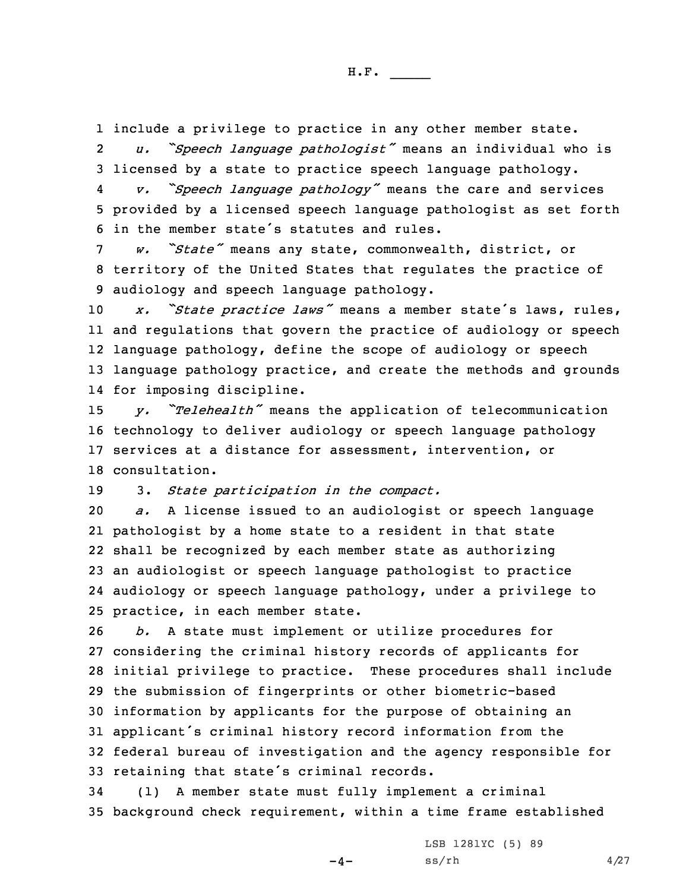1 include <sup>a</sup> privilege to practice in any other member state. 2 *u. "Speech language pathologist"* means an individual who is 3 licensed by <sup>a</sup> state to practice speech language pathology.

4 *v. "Speech language pathology"* means the care and services 5 provided by <sup>a</sup> licensed speech language pathologist as set forth 6 in the member state's statutes and rules.

<sup>7</sup> *w. "State"* means any state, commonwealth, district, or 8 territory of the United States that regulates the practice of 9 audiology and speech language pathology.

 *x. "State practice laws"* means <sup>a</sup> member state's laws, rules, and regulations that govern the practice of audiology or speech language pathology, define the scope of audiology or speech language pathology practice, and create the methods and grounds for imposing discipline.

 *y. "Telehealth"* means the application of telecommunication technology to deliver audiology or speech language pathology services at <sup>a</sup> distance for assessment, intervention, or consultation.

19 3. *State participation in the compact.*

 *a.* <sup>A</sup> license issued to an audiologist or speech language pathologist by <sup>a</sup> home state to <sup>a</sup> resident in that state shall be recognized by each member state as authorizing an audiologist or speech language pathologist to practice audiology or speech language pathology, under <sup>a</sup> privilege to practice, in each member state.

 *b.* <sup>A</sup> state must implement or utilize procedures for considering the criminal history records of applicants for initial privilege to practice. These procedures shall include the submission of fingerprints or other biometric-based information by applicants for the purpose of obtaining an applicant's criminal history record information from the federal bureau of investigation and the agency responsible for retaining that state's criminal records.

34 (1) <sup>A</sup> member state must fully implement <sup>a</sup> criminal 35 background check requirement, within <sup>a</sup> time frame established

 $-4-$ 

LSB 1281YC (5) 89  $ss/rh$  4/27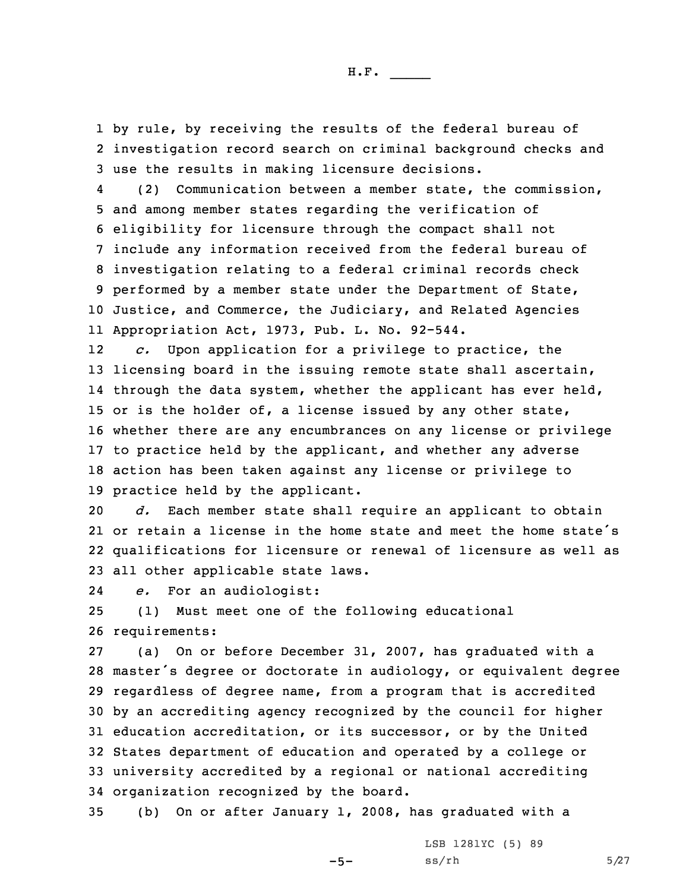1 by rule, by receiving the results of the federal bureau of 2 investigation record search on criminal background checks and 3 use the results in making licensure decisions.

4 (2) Communication between <sup>a</sup> member state, the commission, and among member states regarding the verification of eligibility for licensure through the compact shall not include any information received from the federal bureau of investigation relating to <sup>a</sup> federal criminal records check performed by <sup>a</sup> member state under the Department of State, Justice, and Commerce, the Judiciary, and Related Agencies Appropriation Act, 1973, Pub. L. No. 92-544.

12 *c.* Upon application for <sup>a</sup> privilege to practice, the licensing board in the issuing remote state shall ascertain, 14 through the data system, whether the applicant has ever held, or is the holder of, <sup>a</sup> license issued by any other state, whether there are any encumbrances on any license or privilege to practice held by the applicant, and whether any adverse action has been taken against any license or privilege to practice held by the applicant.

 *d.* Each member state shall require an applicant to obtain or retain <sup>a</sup> license in the home state and meet the home state's qualifications for licensure or renewal of licensure as well as all other applicable state laws.

24*e.* For an audiologist:

25 (1) Must meet one of the following educational 26 requirements:

 (a) On or before December 31, 2007, has graduated with <sup>a</sup> master's degree or doctorate in audiology, or equivalent degree regardless of degree name, from <sup>a</sup> program that is accredited by an accrediting agency recognized by the council for higher education accreditation, or its successor, or by the United States department of education and operated by <sup>a</sup> college or university accredited by <sup>a</sup> regional or national accrediting organization recognized by the board.

35 (b) On or after January 1, 2008, has graduated with <sup>a</sup>

 $-5-$ 

LSB 1281YC (5) 89  $ss/rh$  5/27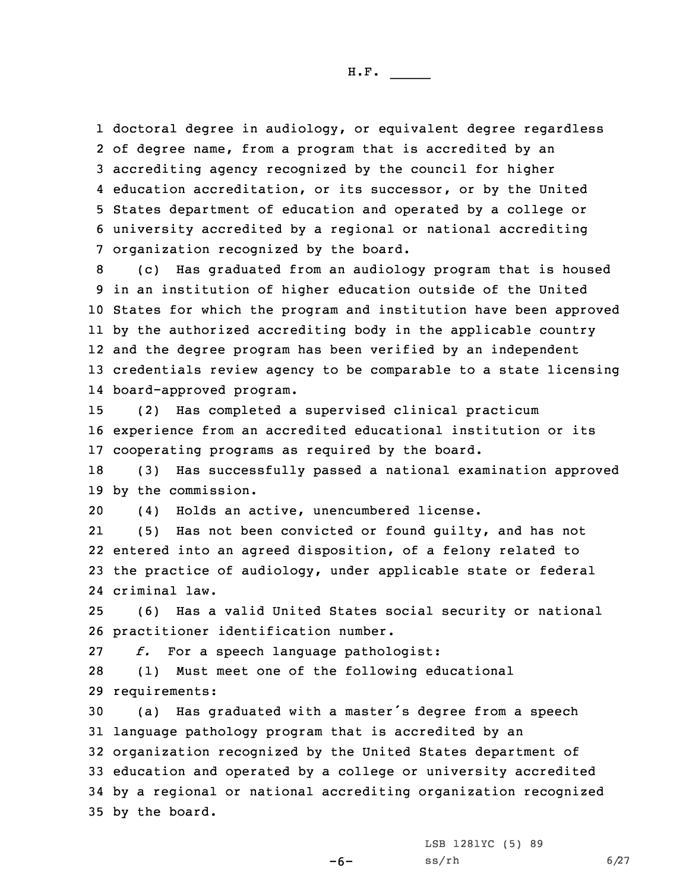doctoral degree in audiology, or equivalent degree regardless of degree name, from <sup>a</sup> program that is accredited by an accrediting agency recognized by the council for higher education accreditation, or its successor, or by the United States department of education and operated by <sup>a</sup> college or university accredited by <sup>a</sup> regional or national accrediting organization recognized by the board.

 (c) Has graduated from an audiology program that is housed in an institution of higher education outside of the United States for which the program and institution have been approved by the authorized accrediting body in the applicable country and the degree program has been verified by an independent credentials review agency to be comparable to <sup>a</sup> state licensing board-approved program.

15 (2) Has completed <sup>a</sup> supervised clinical practicum 16 experience from an accredited educational institution or its 17 cooperating programs as required by the board.

18 (3) Has successfully passed <sup>a</sup> national examination approved 19 by the commission.

20 (4) Holds an active, unencumbered license.

21 (5) Has not been convicted or found guilty, and has not 22 entered into an agreed disposition, of <sup>a</sup> felony related to 23 the practice of audiology, under applicable state or federal 24 criminal law.

25 (6) Has <sup>a</sup> valid United States social security or national 26 practitioner identification number.

27 *f.* For <sup>a</sup> speech language pathologist:

28 (1) Must meet one of the following educational 29 requirements:

 (a) Has graduated with <sup>a</sup> master's degree from <sup>a</sup> speech language pathology program that is accredited by an organization recognized by the United States department of education and operated by <sup>a</sup> college or university accredited by <sup>a</sup> regional or national accrediting organization recognized by the board.

LSB 1281YC (5) 89

-6-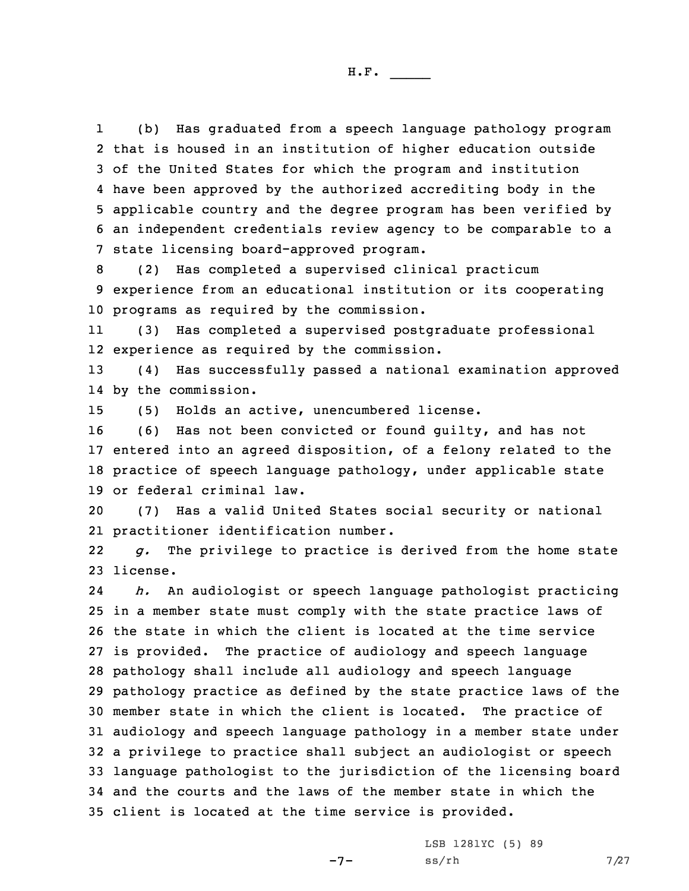1 (b) Has graduated from <sup>a</sup> speech language pathology program that is housed in an institution of higher education outside of the United States for which the program and institution have been approved by the authorized accrediting body in the applicable country and the degree program has been verified by an independent credentials review agency to be comparable to <sup>a</sup> state licensing board-approved program.

8 (2) Has completed <sup>a</sup> supervised clinical practicum 9 experience from an educational institution or its cooperating 10 programs as required by the commission.

11 (3) Has completed <sup>a</sup> supervised postgraduate professional 12 experience as required by the commission.

13 (4) Has successfully passed <sup>a</sup> national examination approved 14 by the commission.

15 (5) Holds an active, unencumbered license.

 (6) Has not been convicted or found guilty, and has not entered into an agreed disposition, of <sup>a</sup> felony related to the practice of speech language pathology, under applicable state or federal criminal law.

20 (7) Has <sup>a</sup> valid United States social security or national 21 practitioner identification number.

22 *g.* The privilege to practice is derived from the home state 23 license.

24 *h.* An audiologist or speech language pathologist practicing in <sup>a</sup> member state must comply with the state practice laws of the state in which the client is located at the time service is provided. The practice of audiology and speech language pathology shall include all audiology and speech language pathology practice as defined by the state practice laws of the member state in which the client is located. The practice of audiology and speech language pathology in <sup>a</sup> member state under <sup>a</sup> privilege to practice shall subject an audiologist or speech language pathologist to the jurisdiction of the licensing board and the courts and the laws of the member state in which the client is located at the time service is provided.

 $-7-$ 

LSB 1281YC (5) 89  $ss/rh$  7/27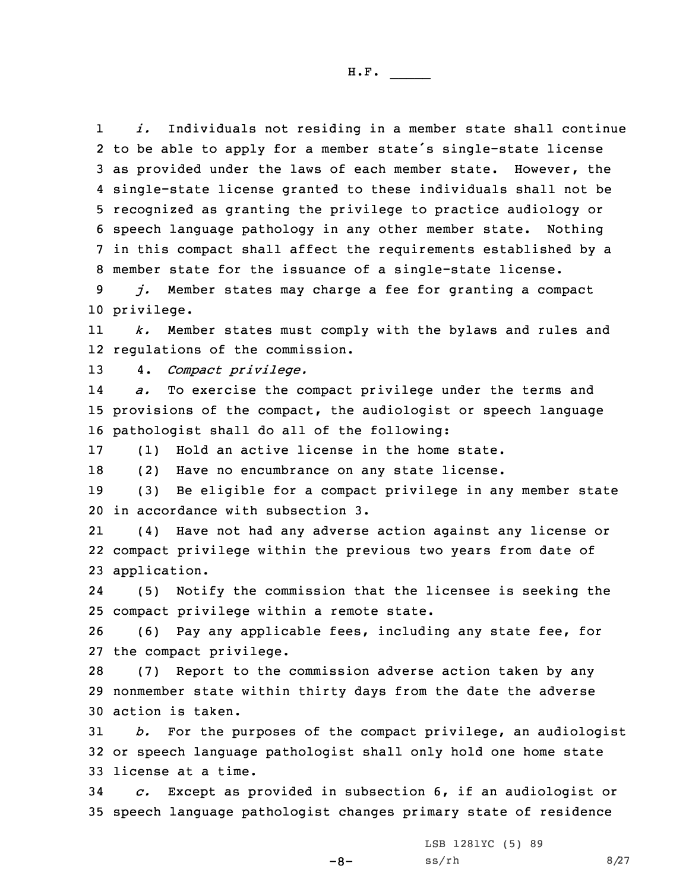1 *i.* Individuals not residing in <sup>a</sup> member state shall continue to be able to apply for <sup>a</sup> member state's single-state license as provided under the laws of each member state. However, the single-state license granted to these individuals shall not be recognized as granting the privilege to practice audiology or speech language pathology in any other member state. Nothing in this compact shall affect the requirements established by <sup>a</sup> member state for the issuance of <sup>a</sup> single-state license.

9 *j.* Member states may charge <sup>a</sup> fee for granting <sup>a</sup> compact 10 privilege.

11 *k.* Member states must comply with the bylaws and rules and 12 regulations of the commission.

13 4. *Compact privilege.*

14 *a.* To exercise the compact privilege under the terms and 15 provisions of the compact, the audiologist or speech language 16 pathologist shall do all of the following:

17 (1) Hold an active license in the home state.

18 (2) Have no encumbrance on any state license.

19 (3) Be eligible for <sup>a</sup> compact privilege in any member state 20 in accordance with subsection 3.

21 (4) Have not had any adverse action against any license or 22 compact privilege within the previous two years from date of 23 application.

24 (5) Notify the commission that the licensee is seeking the 25 compact privilege within <sup>a</sup> remote state.

26 (6) Pay any applicable fees, including any state fee, for 27 the compact privilege.

28 (7) Report to the commission adverse action taken by any 29 nonmember state within thirty days from the date the adverse 30 action is taken.

31 *b.* For the purposes of the compact privilege, an audiologist 32 or speech language pathologist shall only hold one home state 33 license at <sup>a</sup> time.

34 *c.* Except as provided in subsection 6, if an audiologist or 35 speech language pathologist changes primary state of residence

-8-

LSB 1281YC (5) 89  $ss/rh$  8/27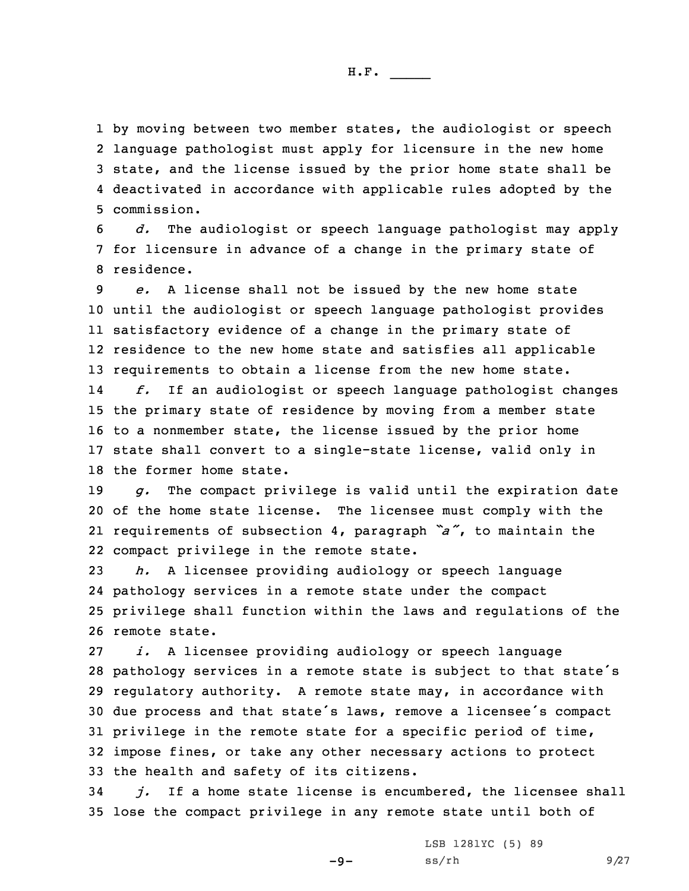by moving between two member states, the audiologist or speech language pathologist must apply for licensure in the new home state, and the license issued by the prior home state shall be deactivated in accordance with applicable rules adopted by the commission.

6 *d.* The audiologist or speech language pathologist may apply 7 for licensure in advance of <sup>a</sup> change in the primary state of 8 residence.

 *e.* <sup>A</sup> license shall not be issued by the new home state until the audiologist or speech language pathologist provides satisfactory evidence of <sup>a</sup> change in the primary state of residence to the new home state and satisfies all applicable requirements to obtain <sup>a</sup> license from the new home state. 14 *f.* If an audiologist or speech language pathologist changes the primary state of residence by moving from <sup>a</sup> member state to <sup>a</sup> nonmember state, the license issued by the prior home state shall convert to <sup>a</sup> single-state license, valid only in the former home state.

 *g.* The compact privilege is valid until the expiration date of the home state license. The licensee must comply with the requirements of subsection 4, paragraph *"a"*, to maintain the compact privilege in the remote state.

 *h.* <sup>A</sup> licensee providing audiology or speech language pathology services in <sup>a</sup> remote state under the compact privilege shall function within the laws and regulations of the remote state.

 *i.* <sup>A</sup> licensee providing audiology or speech language pathology services in <sup>a</sup> remote state is subject to that state's regulatory authority. <sup>A</sup> remote state may, in accordance with due process and that state's laws, remove <sup>a</sup> licensee's compact privilege in the remote state for <sup>a</sup> specific period of time, impose fines, or take any other necessary actions to protect the health and safety of its citizens.

34 *j.* If <sup>a</sup> home state license is encumbered, the licensee shall 35 lose the compact privilege in any remote state until both of

 $-9-$ 

LSB 1281YC (5) 89  $ss/rh$  9/27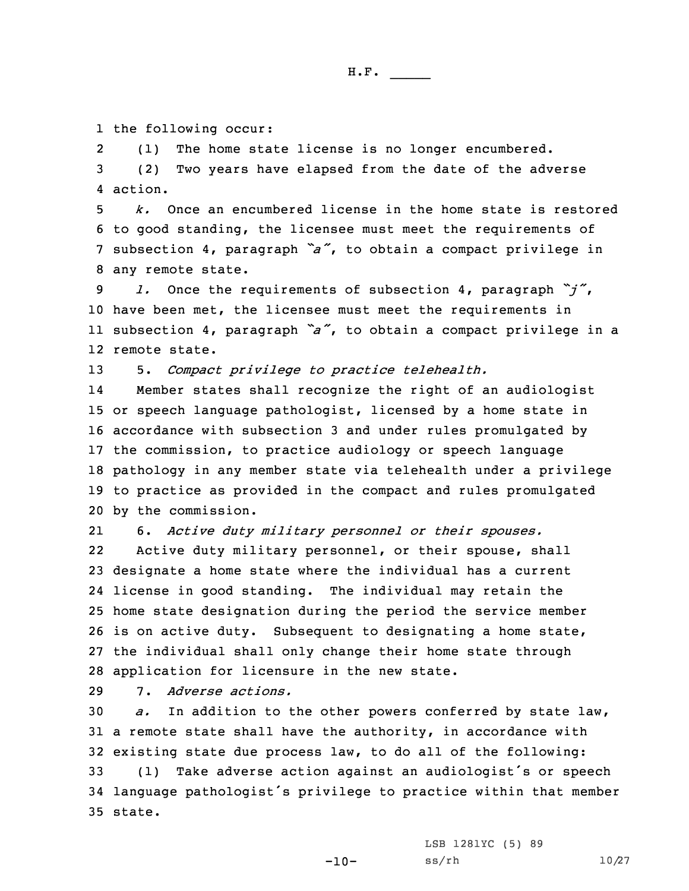1 the following occur:

2 (1) The home state license is no longer encumbered. 3 (2) Two years have elapsed from the date of the adverse 4 action.

 *k.* Once an encumbered license in the home state is restored to good standing, the licensee must meet the requirements of subsection 4, paragraph *"a"*, to obtain <sup>a</sup> compact privilege in any remote state.

 *l.* Once the requirements of subsection 4, paragraph *"j"*, have been met, the licensee must meet the requirements in subsection 4, paragraph *"a"*, to obtain <sup>a</sup> compact privilege in <sup>a</sup> remote state.

13 5. *Compact privilege to practice telehealth.*

14 Member states shall recognize the right of an audiologist or speech language pathologist, licensed by <sup>a</sup> home state in accordance with subsection 3 and under rules promulgated by the commission, to practice audiology or speech language pathology in any member state via telehealth under <sup>a</sup> privilege to practice as provided in the compact and rules promulgated by the commission.

21 6. *Active duty military personnel or their spouses.* 22 Active duty military personnel, or their spouse, shall 23 designate <sup>a</sup> home state where the individual has <sup>a</sup> current 24 license in good standing. The individual may retain the 25 home state designation during the period the service member 26 is on active duty. Subsequent to designating <sup>a</sup> home state, 27 the individual shall only change their home state through 28 application for licensure in the new state.

29 7. *Adverse actions.*

 *a.* In addition to the other powers conferred by state law, <sup>a</sup> remote state shall have the authority, in accordance with existing state due process law, to do all of the following: (1) Take adverse action against an audiologist's or speech language pathologist's privilege to practice within that member 35 state.

LSB 1281YC (5) 89

 $-10-$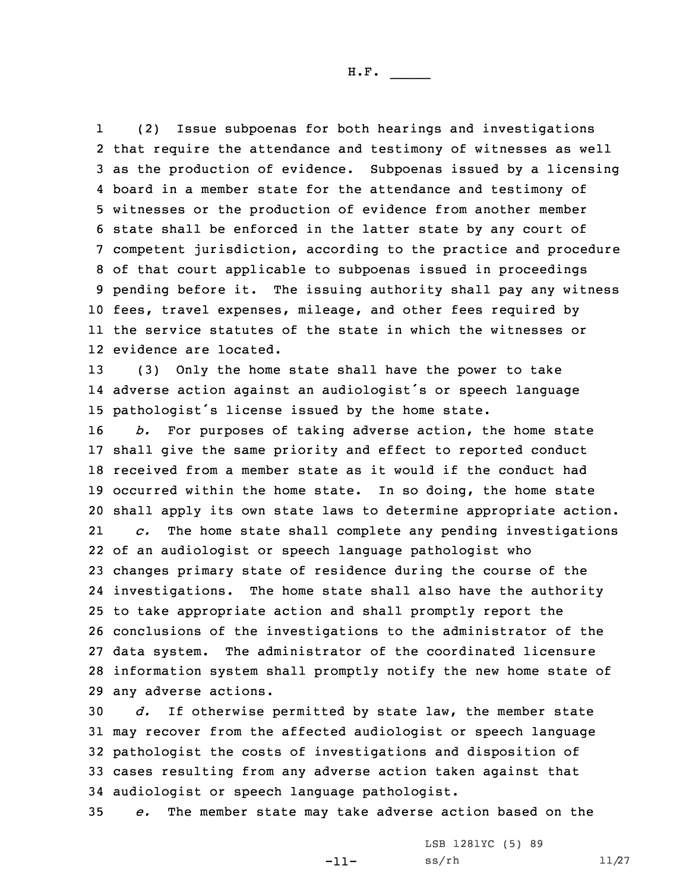1 (2) Issue subpoenas for both hearings and investigations that require the attendance and testimony of witnesses as well as the production of evidence. Subpoenas issued by <sup>a</sup> licensing board in <sup>a</sup> member state for the attendance and testimony of witnesses or the production of evidence from another member state shall be enforced in the latter state by any court of competent jurisdiction, according to the practice and procedure of that court applicable to subpoenas issued in proceedings pending before it. The issuing authority shall pay any witness fees, travel expenses, mileage, and other fees required by the service statutes of the state in which the witnesses or evidence are located.

13 (3) Only the home state shall have the power to take 14 adverse action against an audiologist's or speech language <sup>15</sup> pathologist's license issued by the home state.

 *b.* For purposes of taking adverse action, the home state shall give the same priority and effect to reported conduct received from <sup>a</sup> member state as it would if the conduct had occurred within the home state. In so doing, the home state shall apply its own state laws to determine appropriate action. 21 *c.* The home state shall complete any pending investigations of an audiologist or speech language pathologist who changes primary state of residence during the course of the investigations. The home state shall also have the authority to take appropriate action and shall promptly report the conclusions of the investigations to the administrator of the data system. The administrator of the coordinated licensure information system shall promptly notify the new home state of any adverse actions.

 *d.* If otherwise permitted by state law, the member state may recover from the affected audiologist or speech language pathologist the costs of investigations and disposition of cases resulting from any adverse action taken against that audiologist or speech language pathologist.

35 *e.* The member state may take adverse action based on the

-11-

LSB 1281YC (5) 89 ss/rh 11/27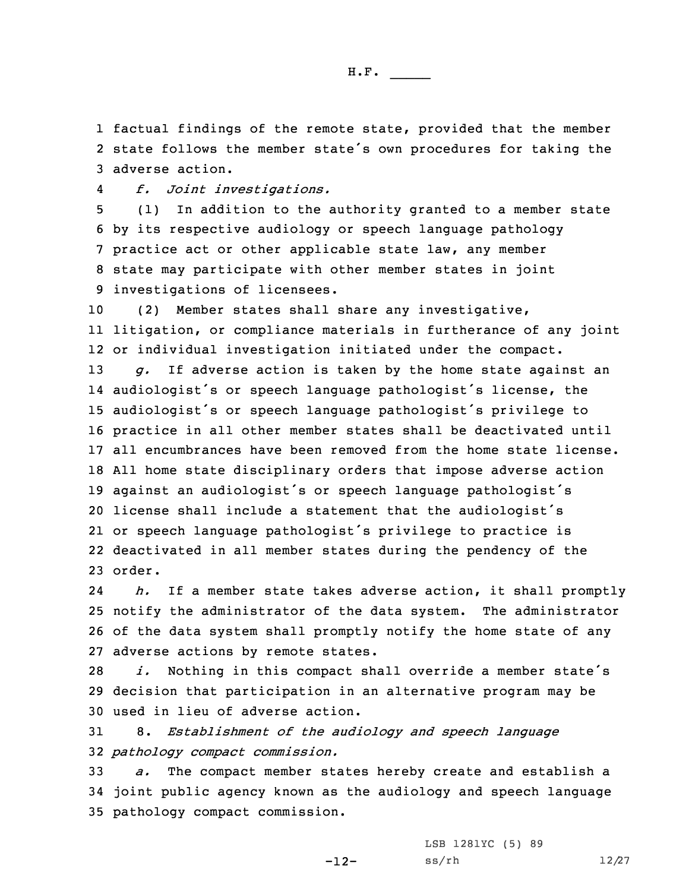1 factual findings of the remote state, provided that the member 2 state follows the member state's own procedures for taking the 3 adverse action.

4*f. Joint investigations.*

 (1) In addition to the authority granted to <sup>a</sup> member state by its respective audiology or speech language pathology practice act or other applicable state law, any member state may participate with other member states in joint investigations of licensees.

 (2) Member states shall share any investigative, litigation, or compliance materials in furtherance of any joint or individual investigation initiated under the compact. *g.* If adverse action is taken by the home state against an audiologist's or speech language pathologist's license, the audiologist's or speech language pathologist's privilege to practice in all other member states shall be deactivated until all encumbrances have been removed from the home state license. All home state disciplinary orders that impose adverse action against an audiologist's or speech language pathologist's license shall include <sup>a</sup> statement that the audiologist's or speech language pathologist's privilege to practice is deactivated in all member states during the pendency of the 23 order.

24 *h.* If <sup>a</sup> member state takes adverse action, it shall promptly 25 notify the administrator of the data system. The administrator 26 of the data system shall promptly notify the home state of any 27 adverse actions by remote states.

<sup>28</sup> *i.* Nothing in this compact shall override <sup>a</sup> member state's 29 decision that participation in an alternative program may be 30 used in lieu of adverse action.

31 8. *Establishment of the audiology and speech language* 32 *pathology compact commission.*

33 *a.* The compact member states hereby create and establish <sup>a</sup> 34 joint public agency known as the audiology and speech language 35 pathology compact commission.

-12-

LSB 1281YC (5) 89 ss/rh 12/27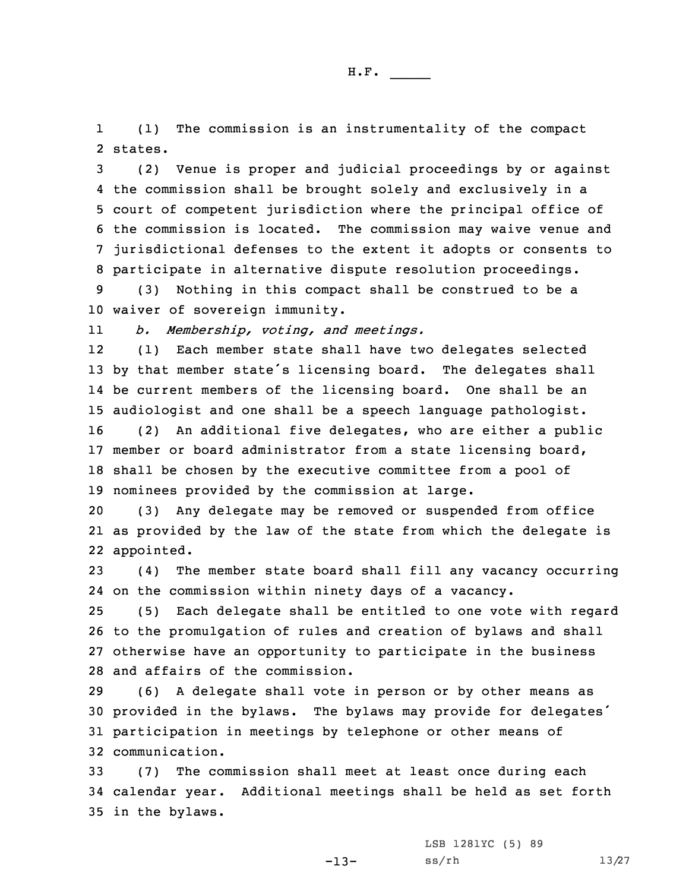1 (1) The commission is an instrumentality of the compact 2 states.

 (2) Venue is proper and judicial proceedings by or against the commission shall be brought solely and exclusively in <sup>a</sup> court of competent jurisdiction where the principal office of the commission is located. The commission may waive venue and jurisdictional defenses to the extent it adopts or consents to participate in alternative dispute resolution proceedings.

9 (3) Nothing in this compact shall be construed to be <sup>a</sup> 10 waiver of sovereign immunity.

11*b. Membership, voting, and meetings.*

12 (1) Each member state shall have two delegates selected <sup>13</sup> by that member state's licensing board. The delegates shall 14 be current members of the licensing board. One shall be an 15 audiologist and one shall be <sup>a</sup> speech language pathologist.

 (2) An additional five delegates, who are either <sup>a</sup> public member or board administrator from <sup>a</sup> state licensing board, shall be chosen by the executive committee from <sup>a</sup> pool of nominees provided by the commission at large.

20 (3) Any delegate may be removed or suspended from office 21 as provided by the law of the state from which the delegate is 22 appointed.

23 (4) The member state board shall fill any vacancy occurring 24 on the commission within ninety days of <sup>a</sup> vacancy.

 (5) Each delegate shall be entitled to one vote with regard to the promulgation of rules and creation of bylaws and shall otherwise have an opportunity to participate in the business and affairs of the commission.

 (6) <sup>A</sup> delegate shall vote in person or by other means as provided in the bylaws. The bylaws may provide for delegates' participation in meetings by telephone or other means of communication.

33 (7) The commission shall meet at least once during each 34 calendar year. Additional meetings shall be held as set forth 35 in the bylaws.

-13-

LSB 1281YC (5) 89 ss/rh 13/27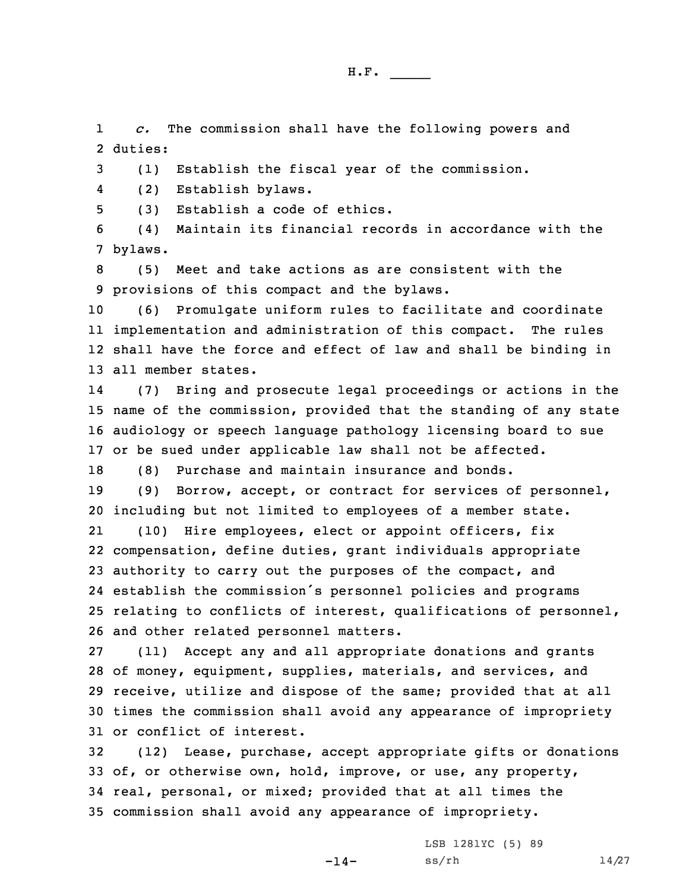1 *c.* The commission shall have the following powers and 2 duties:

3 (1) Establish the fiscal year of the commission.

4(2) Establish bylaws.

5 (3) Establish <sup>a</sup> code of ethics.

6 (4) Maintain its financial records in accordance with the 7 bylaws.

8 (5) Meet and take actions as are consistent with the 9 provisions of this compact and the bylaws.

 (6) Promulgate uniform rules to facilitate and coordinate implementation and administration of this compact. The rules shall have the force and effect of law and shall be binding in all member states.

14 (7) Bring and prosecute legal proceedings or actions in the 15 name of the commission, provided that the standing of any state 16 audiology or speech language pathology licensing board to sue 17 or be sued under applicable law shall not be affected.

18 (8) Purchase and maintain insurance and bonds.

19 (9) Borrow, accept, or contract for services of personnel, 20 including but not limited to employees of <sup>a</sup> member state.

21 (10) Hire employees, elect or appoint officers, fix compensation, define duties, grant individuals appropriate authority to carry out the purposes of the compact, and establish the commission's personnel policies and programs relating to conflicts of interest, qualifications of personnel, and other related personnel matters.

 (11) Accept any and all appropriate donations and grants of money, equipment, supplies, materials, and services, and receive, utilize and dispose of the same; provided that at all times the commission shall avoid any appearance of impropriety or conflict of interest.

 (12) Lease, purchase, accept appropriate gifts or donations of, or otherwise own, hold, improve, or use, any property, real, personal, or mixed; provided that at all times the commission shall avoid any appearance of impropriety.

-14-

LSB 1281YC (5) 89 ss/rh 14/27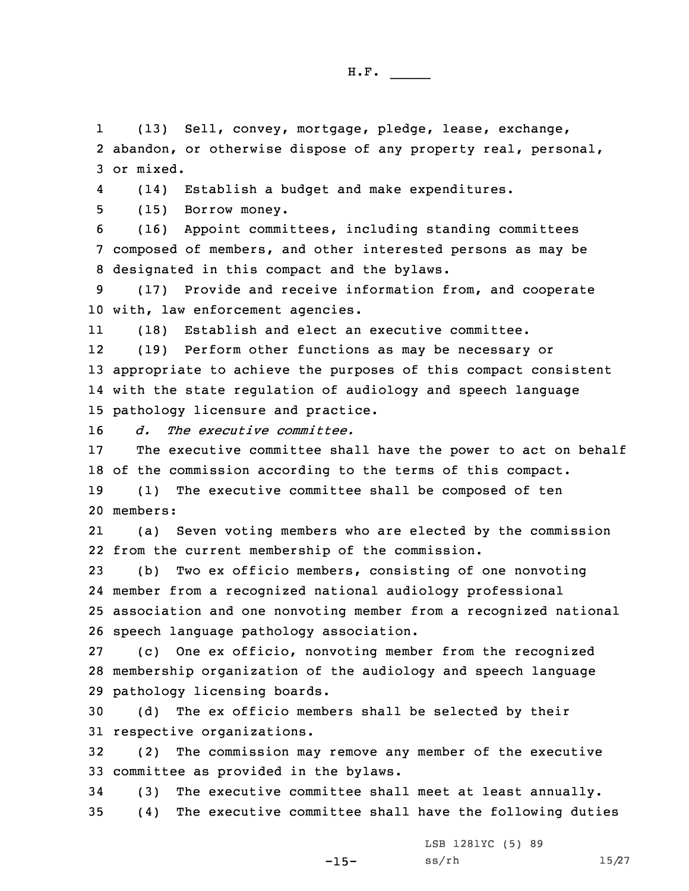1 (13) Sell, convey, mortgage, pledge, lease, exchange, 2 abandon, or otherwise dispose of any property real, personal, 3 or mixed.

4(14) Establish <sup>a</sup> budget and make expenditures.

5 (15) Borrow money.

6 (16) Appoint committees, including standing committees 7 composed of members, and other interested persons as may be 8 designated in this compact and the bylaws.

9 (17) Provide and receive information from, and cooperate 10 with, law enforcement agencies.

11(18) Establish and elect an executive committee.

12 (19) Perform other functions as may be necessary or 13 appropriate to achieve the purposes of this compact consistent 14 with the state regulation of audiology and speech language 15 pathology licensure and practice.

16 *d. The executive committee.*

17 The executive committee shall have the power to act on behalf 18 of the commission according to the terms of this compact.

19 (1) The executive committee shall be composed of ten 20 members:

21 (a) Seven voting members who are elected by the commission 22 from the current membership of the commission.

 (b) Two ex officio members, consisting of one nonvoting member from <sup>a</sup> recognized national audiology professional association and one nonvoting member from <sup>a</sup> recognized national speech language pathology association.

27 (c) One ex officio, nonvoting member from the recognized 28 membership organization of the audiology and speech language 29 pathology licensing boards.

30 (d) The ex officio members shall be selected by their 31 respective organizations.

32 (2) The commission may remove any member of the executive 33 committee as provided in the bylaws.

34 (3) The executive committee shall meet at least annually. 35 (4) The executive committee shall have the following duties

-15-

LSB 1281YC (5) 89 ss/rh 15/27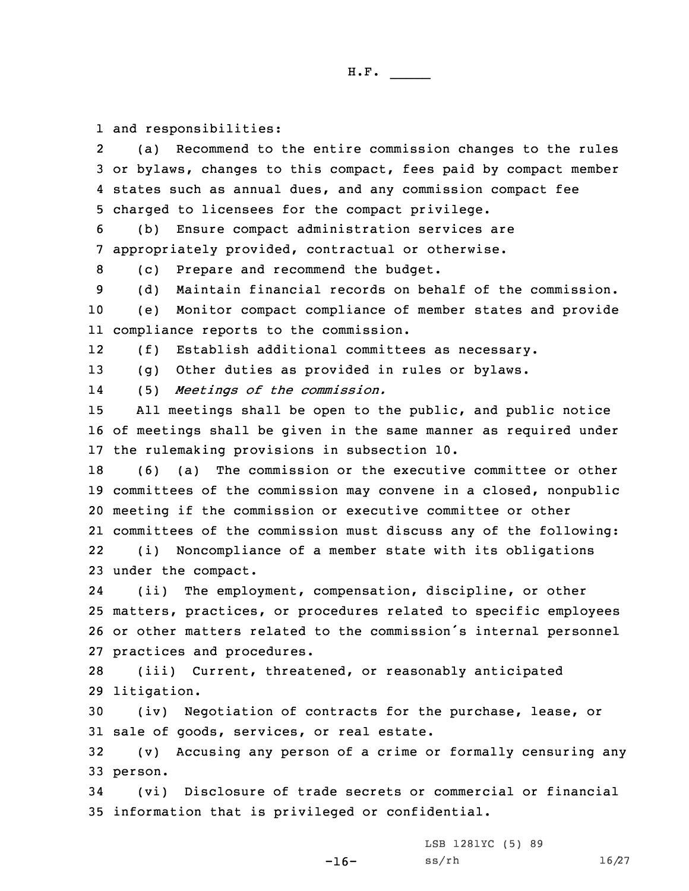1 and responsibilities:

2 (a) Recommend to the entire commission changes to the rules 3 or bylaws, changes to this compact, fees paid by compact member 4 states such as annual dues, and any commission compact fee 5 charged to licensees for the compact privilege.

6 (b) Ensure compact administration services are 7 appropriately provided, contractual or otherwise.

8 (c) Prepare and recommend the budget.

9 (d) Maintain financial records on behalf of the commission.

10 (e) Monitor compact compliance of member states and provide 11 compliance reports to the commission.

12(f) Establish additional committees as necessary.

13 (g) Other duties as provided in rules or bylaws.

14(5) *Meetings of the commission.*

15 All meetings shall be open to the public, and public notice 16 of meetings shall be given in the same manner as required under 17 the rulemaking provisions in subsection 10.

 (6) (a) The commission or the executive committee or other committees of the commission may convene in <sup>a</sup> closed, nonpublic meeting if the commission or executive committee or other committees of the commission must discuss any of the following: 22(i) Noncompliance of <sup>a</sup> member state with its obligations

23 under the compact.

24 (ii) The employment, compensation, discipline, or other 25 matters, practices, or procedures related to specific employees <sup>26</sup> or other matters related to the commission's internal personnel 27 practices and procedures.

28 (iii) Current, threatened, or reasonably anticipated 29 litigation.

30 (iv) Negotiation of contracts for the purchase, lease, or 31 sale of goods, services, or real estate.

32 (v) Accusing any person of <sup>a</sup> crime or formally censuring any 33 person.

34 (vi) Disclosure of trade secrets or commercial or financial 35 information that is privileged or confidential.

-16-

LSB 1281YC (5) 89 ss/rh 16/27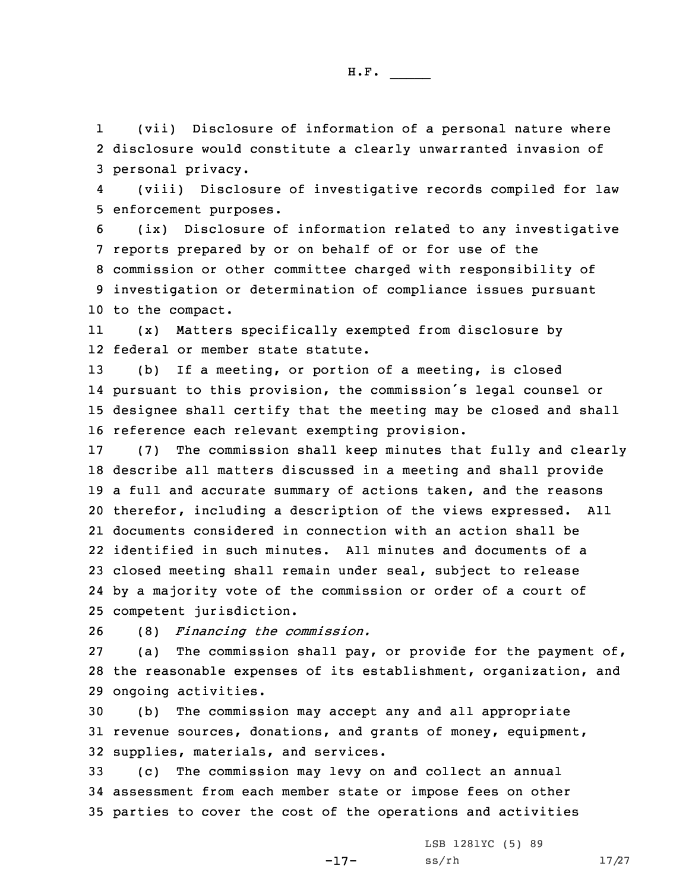1 (vii) Disclosure of information of <sup>a</sup> personal nature where 2 disclosure would constitute <sup>a</sup> clearly unwarranted invasion of 3 personal privacy.

4 (viii) Disclosure of investigative records compiled for law 5 enforcement purposes.

 (ix) Disclosure of information related to any investigative reports prepared by or on behalf of or for use of the commission or other committee charged with responsibility of investigation or determination of compliance issues pursuant to the compact.

11 (x) Matters specifically exempted from disclosure by 12 federal or member state statute.

 (b) If <sup>a</sup> meeting, or portion of <sup>a</sup> meeting, is closed pursuant to this provision, the commission's legal counsel or designee shall certify that the meeting may be closed and shall reference each relevant exempting provision.

 (7) The commission shall keep minutes that fully and clearly describe all matters discussed in <sup>a</sup> meeting and shall provide <sup>a</sup> full and accurate summary of actions taken, and the reasons therefor, including <sup>a</sup> description of the views expressed. All documents considered in connection with an action shall be identified in such minutes. All minutes and documents of <sup>a</sup> closed meeting shall remain under seal, subject to release by <sup>a</sup> majority vote of the commission or order of <sup>a</sup> court of competent jurisdiction.

26 (8) *Financing the commission.*

27 (a) The commission shall pay, or provide for the payment of, 28 the reasonable expenses of its establishment, organization, and 29 ongoing activities.

30 (b) The commission may accept any and all appropriate 31 revenue sources, donations, and grants of money, equipment, 32 supplies, materials, and services.

33 (c) The commission may levy on and collect an annual 34 assessment from each member state or impose fees on other 35 parties to cover the cost of the operations and activities

-17-

LSB 1281YC (5) 89 ss/rh 17/27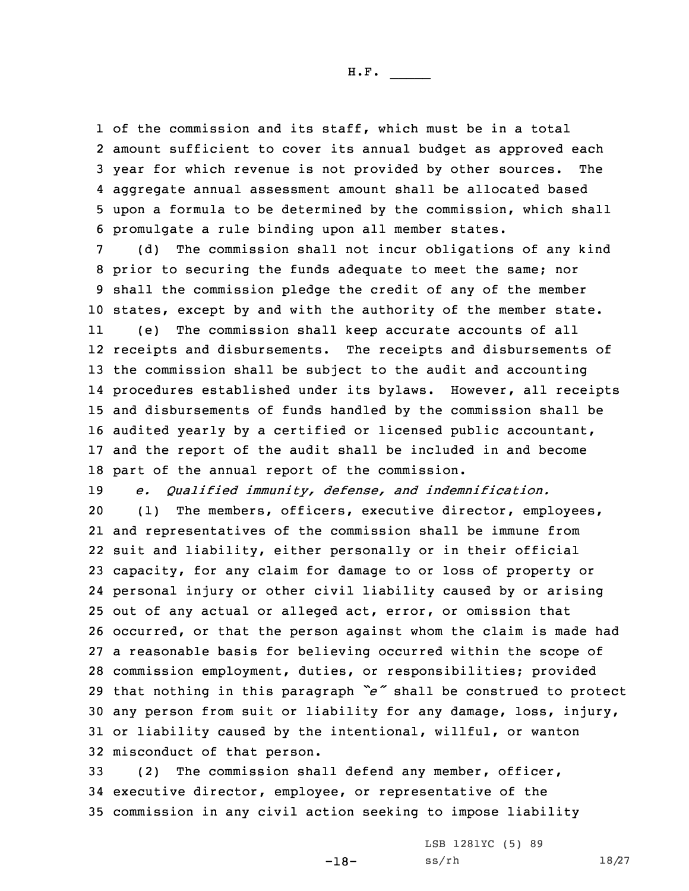of the commission and its staff, which must be in <sup>a</sup> total amount sufficient to cover its annual budget as approved each year for which revenue is not provided by other sources. The aggregate annual assessment amount shall be allocated based upon <sup>a</sup> formula to be determined by the commission, which shall promulgate <sup>a</sup> rule binding upon all member states.

 (d) The commission shall not incur obligations of any kind prior to securing the funds adequate to meet the same; nor shall the commission pledge the credit of any of the member states, except by and with the authority of the member state.

11 (e) The commission shall keep accurate accounts of all receipts and disbursements. The receipts and disbursements of the commission shall be subject to the audit and accounting procedures established under its bylaws. However, all receipts and disbursements of funds handled by the commission shall be audited yearly by <sup>a</sup> certified or licensed public accountant, and the report of the audit shall be included in and become part of the annual report of the commission.

19 *e. Qualified immunity, defense, and indemnification.*

 (1) The members, officers, executive director, employees, and representatives of the commission shall be immune from suit and liability, either personally or in their official capacity, for any claim for damage to or loss of property or personal injury or other civil liability caused by or arising out of any actual or alleged act, error, or omission that occurred, or that the person against whom the claim is made had <sup>a</sup> reasonable basis for believing occurred within the scope of commission employment, duties, or responsibilities; provided that nothing in this paragraph *"e"* shall be construed to protect any person from suit or liability for any damage, loss, injury, or liability caused by the intentional, willful, or wanton misconduct of that person.

33 (2) The commission shall defend any member, officer, 34 executive director, employee, or representative of the 35 commission in any civil action seeking to impose liability

-18-

LSB 1281YC (5) 89 ss/rh 18/27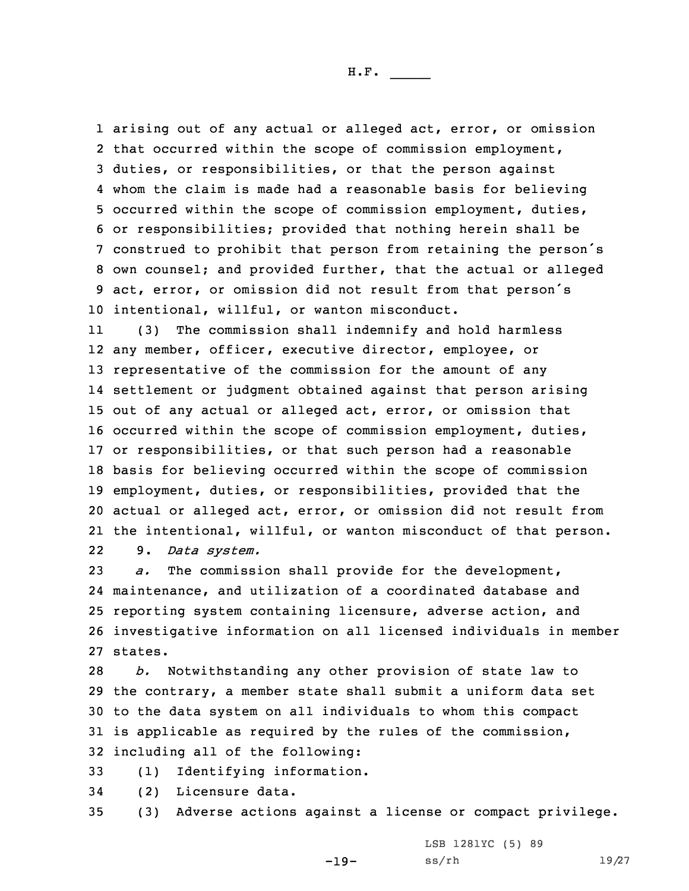arising out of any actual or alleged act, error, or omission that occurred within the scope of commission employment, duties, or responsibilities, or that the person against whom the claim is made had <sup>a</sup> reasonable basis for believing occurred within the scope of commission employment, duties, or responsibilities; provided that nothing herein shall be construed to prohibit that person from retaining the person's own counsel; and provided further, that the actual or alleged act, error, or omission did not result from that person's intentional, willful, or wanton misconduct.

11 (3) The commission shall indemnify and hold harmless any member, officer, executive director, employee, or representative of the commission for the amount of any settlement or judgment obtained against that person arising out of any actual or alleged act, error, or omission that occurred within the scope of commission employment, duties, or responsibilities, or that such person had <sup>a</sup> reasonable basis for believing occurred within the scope of commission employment, duties, or responsibilities, provided that the actual or alleged act, error, or omission did not result from the intentional, willful, or wanton misconduct of that person. 229. *Data system.*

 *a.* The commission shall provide for the development, maintenance, and utilization of <sup>a</sup> coordinated database and reporting system containing licensure, adverse action, and investigative information on all licensed individuals in member 27 states.

 *b.* Notwithstanding any other provision of state law to the contrary, <sup>a</sup> member state shall submit <sup>a</sup> uniform data set to the data system on all individuals to whom this compact is applicable as required by the rules of the commission, including all of the following:

- 33 (1) Identifying information.
- 34 (2) Licensure data.
- 35 (3) Adverse actions against <sup>a</sup> license or compact privilege.

-19-

LSB 1281YC (5) 89 ss/rh 19/27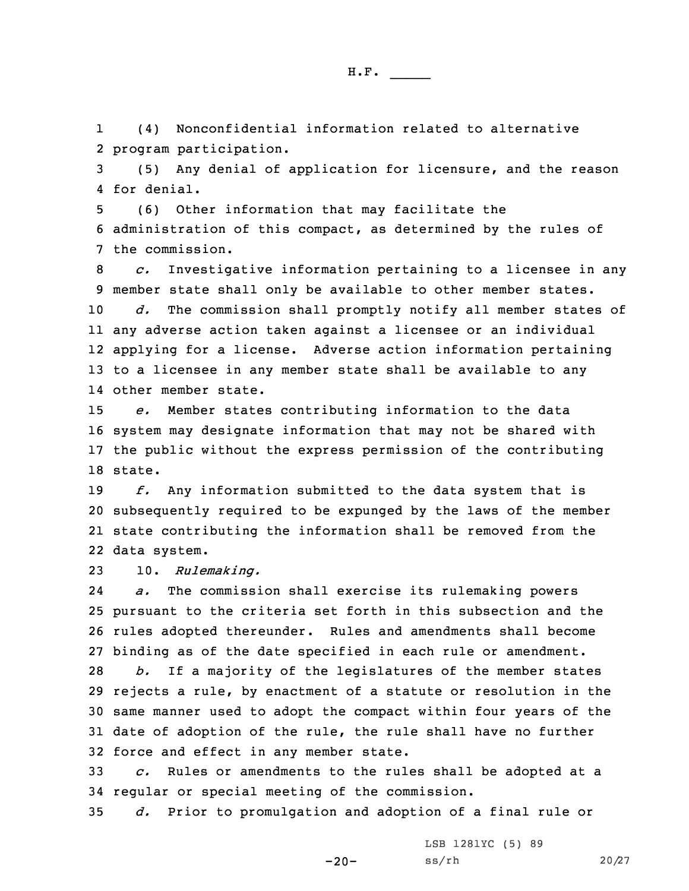1 (4) Nonconfidential information related to alternative 2 program participation.

3 (5) Any denial of application for licensure, and the reason 4 for denial.

5 (6) Other information that may facilitate the 6 administration of this compact, as determined by the rules of 7 the commission.

 *c.* Investigative information pertaining to <sup>a</sup> licensee in any member state shall only be available to other member states. *d.* The commission shall promptly notify all member states of any adverse action taken against <sup>a</sup> licensee or an individual applying for <sup>a</sup> license. Adverse action information pertaining to <sup>a</sup> licensee in any member state shall be available to any other member state.

 *e.* Member states contributing information to the data system may designate information that may not be shared with the public without the express permission of the contributing 18 state.

 *f.* Any information submitted to the data system that is subsequently required to be expunged by the laws of the member state contributing the information shall be removed from the data system.

23 10. *Rulemaking.*

24 *a.* The commission shall exercise its rulemaking powers pursuant to the criteria set forth in this subsection and the rules adopted thereunder. Rules and amendments shall become binding as of the date specified in each rule or amendment. *b.* If <sup>a</sup> majority of the legislatures of the member states rejects <sup>a</sup> rule, by enactment of <sup>a</sup> statute or resolution in the same manner used to adopt the compact within four years of the date of adoption of the rule, the rule shall have no further force and effect in any member state.

33 *c.* Rules or amendments to the rules shall be adopted at <sup>a</sup> 34 regular or special meeting of the commission.

35 *d.* Prior to promulgation and adoption of <sup>a</sup> final rule or

-20-

LSB 1281YC (5) 89 ss/rh 20/27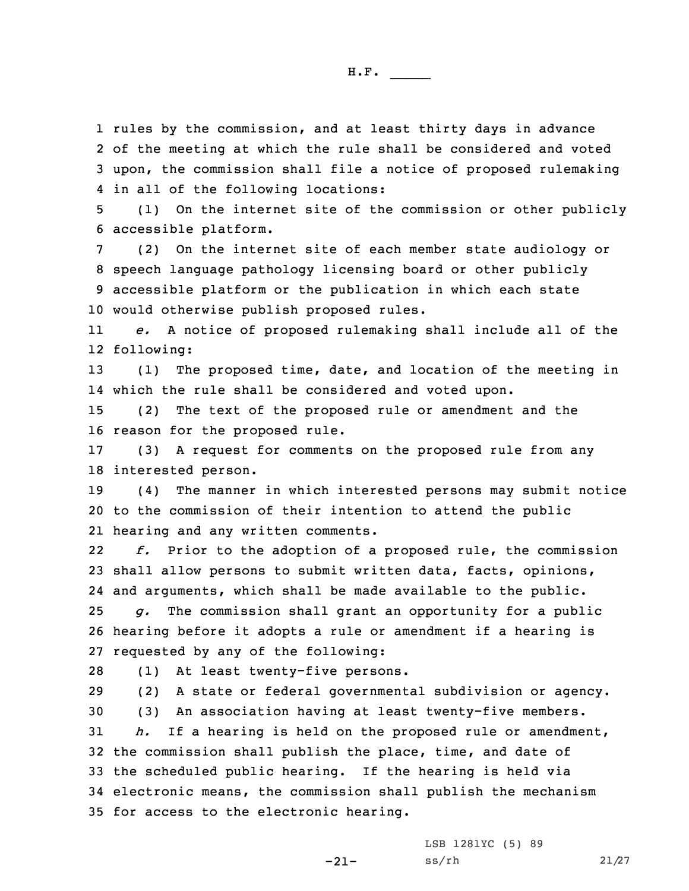rules by the commission, and at least thirty days in advance of the meeting at which the rule shall be considered and voted upon, the commission shall file <sup>a</sup> notice of proposed rulemaking in all of the following locations:

5 (1) On the internet site of the commission or other publicly 6 accessible platform.

 (2) On the internet site of each member state audiology or speech language pathology licensing board or other publicly accessible platform or the publication in which each state would otherwise publish proposed rules.

11 *e.* <sup>A</sup> notice of proposed rulemaking shall include all of the 12 following:

13 (1) The proposed time, date, and location of the meeting in 14 which the rule shall be considered and voted upon.

15 (2) The text of the proposed rule or amendment and the 16 reason for the proposed rule.

17 (3) <sup>A</sup> request for comments on the proposed rule from any 18 interested person.

19 (4) The manner in which interested persons may submit notice 20 to the commission of their intention to attend the public 21 hearing and any written comments.

22 *f.* Prior to the adoption of <sup>a</sup> proposed rule, the commission 23 shall allow persons to submit written data, facts, opinions, 24 and arguments, which shall be made available to the public.

25 *g.* The commission shall grant an opportunity for <sup>a</sup> public 26 hearing before it adopts <sup>a</sup> rule or amendment if <sup>a</sup> hearing is 27 requested by any of the following:

28 (1) At least twenty-five persons.

29 (2) <sup>A</sup> state or federal governmental subdivision or agency.

 (3) An association having at least twenty-five members. *h.* If <sup>a</sup> hearing is held on the proposed rule or amendment, the commission shall publish the place, time, and date of the scheduled public hearing. If the hearing is held via electronic means, the commission shall publish the mechanism for access to the electronic hearing.

-21-

LSB 1281YC (5) 89 ss/rh 21/27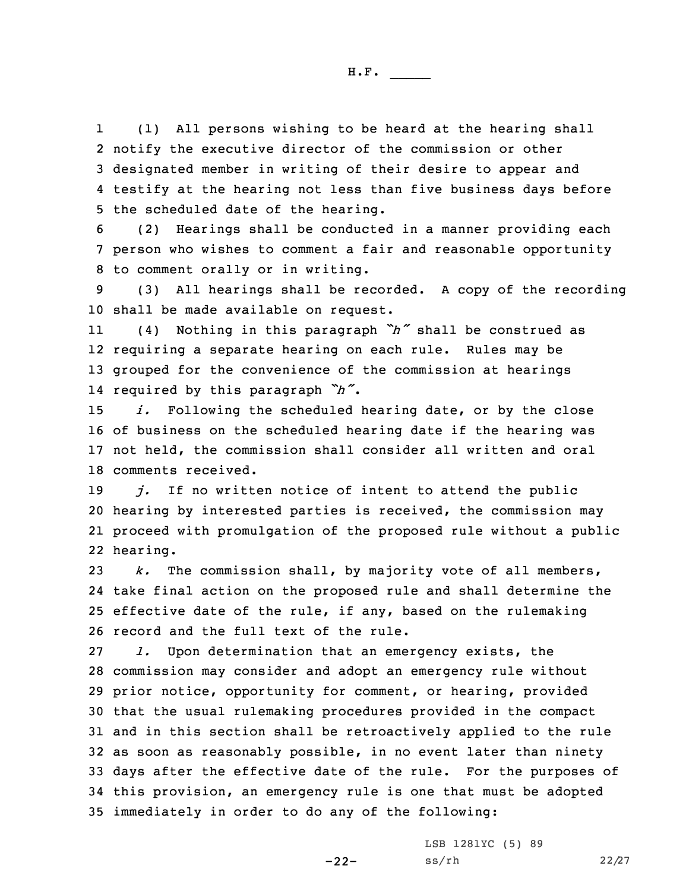1 (1) All persons wishing to be heard at the hearing shall notify the executive director of the commission or other designated member in writing of their desire to appear and testify at the hearing not less than five business days before the scheduled date of the hearing.

6 (2) Hearings shall be conducted in <sup>a</sup> manner providing each 7 person who wishes to comment <sup>a</sup> fair and reasonable opportunity 8 to comment orally or in writing.

9 (3) All hearings shall be recorded. <sup>A</sup> copy of the recording 10 shall be made available on request.

11 (4) Nothing in this paragraph *"h"* shall be construed as 12 requiring <sup>a</sup> separate hearing on each rule. Rules may be 13 grouped for the convenience of the commission at hearings 14 required by this paragraph *"h"*.

 *i.* Following the scheduled hearing date, or by the close of business on the scheduled hearing date if the hearing was not held, the commission shall consider all written and oral comments received.

 *j.* If no written notice of intent to attend the public hearing by interested parties is received, the commission may proceed with promulgation of the proposed rule without <sup>a</sup> public 22 hearing.

 *k.* The commission shall, by majority vote of all members, take final action on the proposed rule and shall determine the effective date of the rule, if any, based on the rulemaking record and the full text of the rule.

 *l.* Upon determination that an emergency exists, the commission may consider and adopt an emergency rule without prior notice, opportunity for comment, or hearing, provided that the usual rulemaking procedures provided in the compact and in this section shall be retroactively applied to the rule as soon as reasonably possible, in no event later than ninety days after the effective date of the rule. For the purposes of this provision, an emergency rule is one that must be adopted immediately in order to do any of the following:

-22-

LSB 1281YC (5) 89 ss/rh 22/27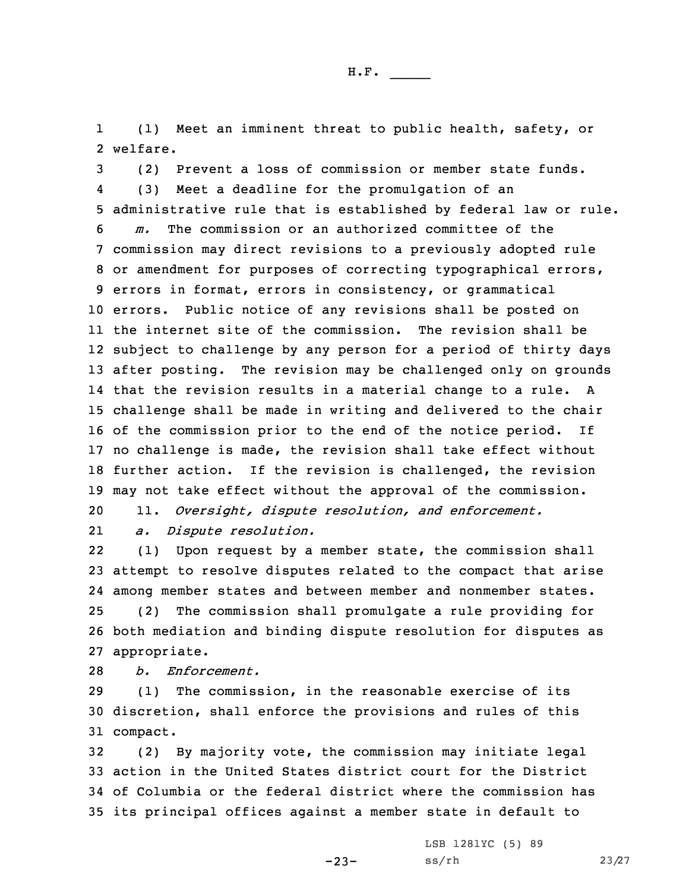1 (1) Meet an imminent threat to public health, safety, or 2 welfare.

 (2) Prevent <sup>a</sup> loss of commission or member state funds. 4 (3) Meet <sup>a</sup> deadline for the promulgation of an administrative rule that is established by federal law or rule. *m.* The commission or an authorized committee of the commission may direct revisions to <sup>a</sup> previously adopted rule or amendment for purposes of correcting typographical errors, errors in format, errors in consistency, or grammatical errors. Public notice of any revisions shall be posted on the internet site of the commission. The revision shall be subject to challenge by any person for <sup>a</sup> period of thirty days after posting. The revision may be challenged only on grounds that the revision results in <sup>a</sup> material change to <sup>a</sup> rule. <sup>A</sup> challenge shall be made in writing and delivered to the chair of the commission prior to the end of the notice period. If no challenge is made, the revision shall take effect without further action. If the revision is challenged, the revision may not take effect without the approval of the commission.

20 11. *Oversight, dispute resolution, and enforcement.*

21*a. Dispute resolution.*

22 (1) Upon request by <sup>a</sup> member state, the commission shall attempt to resolve disputes related to the compact that arise among member states and between member and nonmember states. (2) The commission shall promulgate <sup>a</sup> rule providing for both mediation and binding dispute resolution for disputes as appropriate.

28 *b. Enforcement.*

29 (1) The commission, in the reasonable exercise of its 30 discretion, shall enforce the provisions and rules of this 31 compact.

 (2) By majority vote, the commission may initiate legal action in the United States district court for the District of Columbia or the federal district where the commission has its principal offices against <sup>a</sup> member state in default to

-23-

LSB 1281YC (5) 89 ss/rh 23/27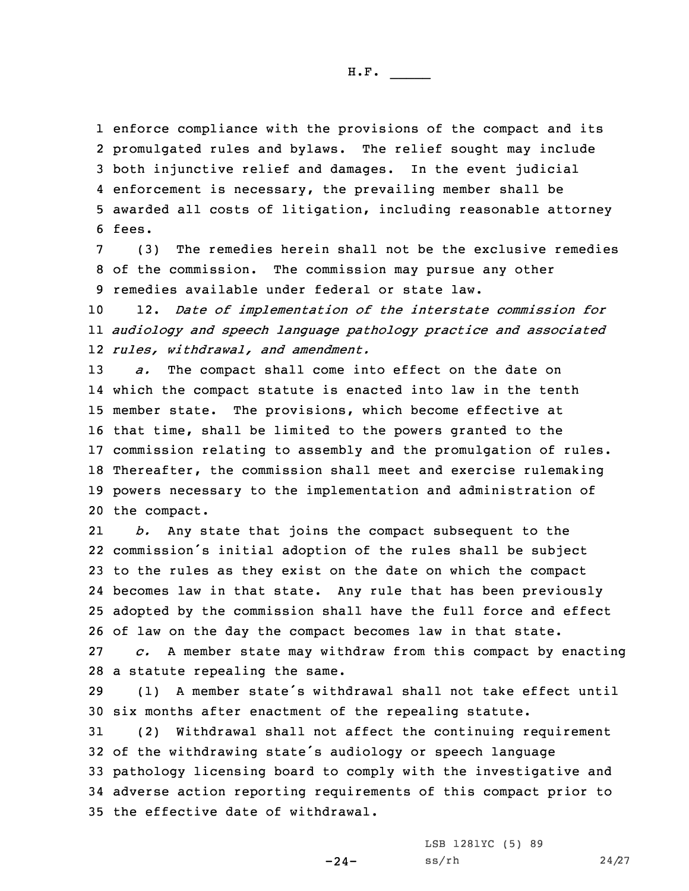enforce compliance with the provisions of the compact and its promulgated rules and bylaws. The relief sought may include both injunctive relief and damages. In the event judicial enforcement is necessary, the prevailing member shall be awarded all costs of litigation, including reasonable attorney 6 fees.

7 (3) The remedies herein shall not be the exclusive remedies 8 of the commission. The commission may pursue any other 9 remedies available under federal or state law.

10 12. *Date of implementation of the interstate commission for* 11 *audiology and speech language pathology practice and associated* 12 *rules, withdrawal, and amendment.*

 *a.* The compact shall come into effect on the date on which the compact statute is enacted into law in the tenth member state. The provisions, which become effective at that time, shall be limited to the powers granted to the commission relating to assembly and the promulgation of rules. Thereafter, the commission shall meet and exercise rulemaking powers necessary to the implementation and administration of the compact.

21 *b.* Any state that joins the compact subsequent to the commission's initial adoption of the rules shall be subject to the rules as they exist on the date on which the compact becomes law in that state. Any rule that has been previously adopted by the commission shall have the full force and effect of law on the day the compact becomes law in that state.

27 *c.* <sup>A</sup> member state may withdraw from this compact by enacting 28 <sup>a</sup> statute repealing the same.

29 (1) <sup>A</sup> member state's withdrawal shall not take effect until 30 six months after enactment of the repealing statute.

 (2) Withdrawal shall not affect the continuing requirement of the withdrawing state's audiology or speech language pathology licensing board to comply with the investigative and adverse action reporting requirements of this compact prior to the effective date of withdrawal.

-24-

LSB 1281YC (5) 89 ss/rh 24/27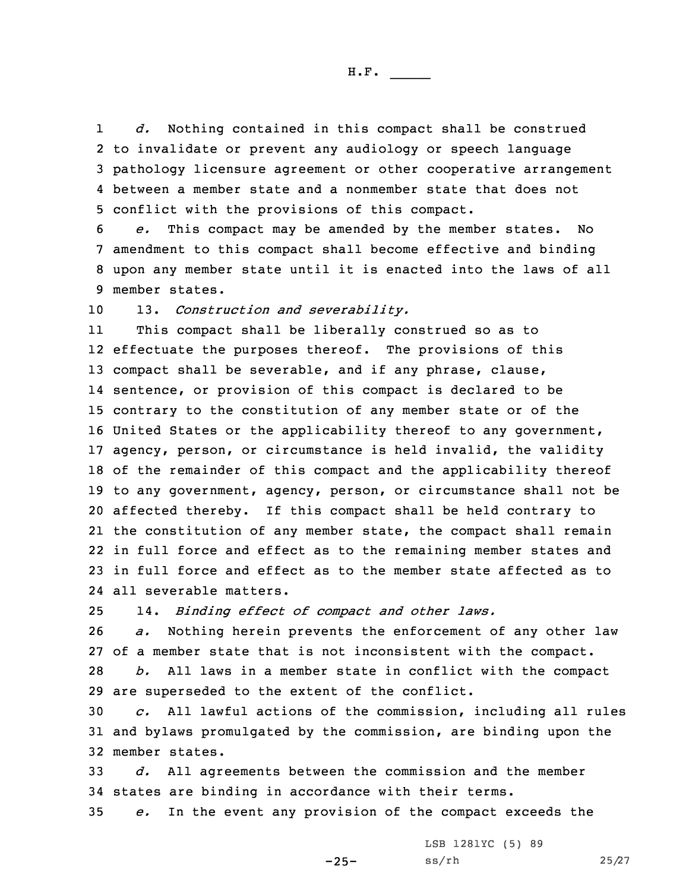1 *d.* Nothing contained in this compact shall be construed to invalidate or prevent any audiology or speech language pathology licensure agreement or other cooperative arrangement between a member state and a nonmember state that does not conflict with the provisions of this compact.

 *e.* This compact may be amended by the member states. No amendment to this compact shall become effective and binding upon any member state until it is enacted into the laws of all member states.

10 13. *Construction and severability.*

11 This compact shall be liberally construed so as to effectuate the purposes thereof. The provisions of this 13 compact shall be severable, and if any phrase, clause, sentence, or provision of this compact is declared to be contrary to the constitution of any member state or of the United States or the applicability thereof to any government, agency, person, or circumstance is held invalid, the validity of the remainder of this compact and the applicability thereof to any government, agency, person, or circumstance shall not be affected thereby. If this compact shall be held contrary to the constitution of any member state, the compact shall remain in full force and effect as to the remaining member states and in full force and effect as to the member state affected as to all severable matters.

25 14. *Binding effect of compact and other laws.*

 *a.* Nothing herein prevents the enforcement of any other law of <sup>a</sup> member state that is not inconsistent with the compact. *b.* All laws in <sup>a</sup> member state in conflict with the compact are superseded to the extent of the conflict.

30 *c.* All lawful actions of the commission, including all rules 31 and bylaws promulgated by the commission, are binding upon the 32 member states.

33 *d.* All agreements between the commission and the member 34 states are binding in accordance with their terms.

35 *e.* In the event any provision of the compact exceeds the

LSB 1281YC (5) 89 ss/rh 25/27

 $-25-$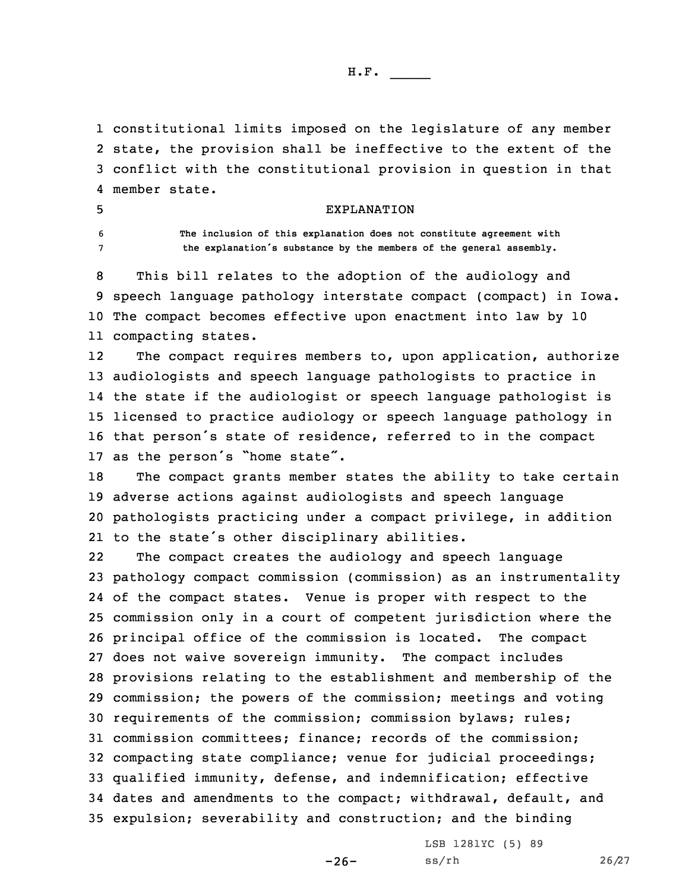constitutional limits imposed on the legislature of any member state, the provision shall be ineffective to the extent of the conflict with the constitutional provision in question in that member state.

5 EXPLANATION

6 **The inclusion of this explanation does not constitute agreement with** <sup>7</sup> **the explanation's substance by the members of the general assembly.**

 This bill relates to the adoption of the audiology and speech language pathology interstate compact (compact) in Iowa. The compact becomes effective upon enactment into law by 10 compacting states.

12The compact requires members to, upon application, authorize audiologists and speech language pathologists to practice in the state if the audiologist or speech language pathologist is licensed to practice audiology or speech language pathology in that person's state of residence, referred to in the compact as the person's "home state".

 The compact grants member states the ability to take certain adverse actions against audiologists and speech language pathologists practicing under <sup>a</sup> compact privilege, in addition to the state's other disciplinary abilities.

22 The compact creates the audiology and speech language pathology compact commission (commission) as an instrumentality of the compact states. Venue is proper with respect to the commission only in <sup>a</sup> court of competent jurisdiction where the principal office of the commission is located. The compact does not waive sovereign immunity. The compact includes provisions relating to the establishment and membership of the commission; the powers of the commission; meetings and voting requirements of the commission; commission bylaws; rules; commission committees; finance; records of the commission; compacting state compliance; venue for judicial proceedings; qualified immunity, defense, and indemnification; effective dates and amendments to the compact; withdrawal, default, and expulsion; severability and construction; and the binding

-26-

LSB 1281YC (5) 89 ss/rh 26/27